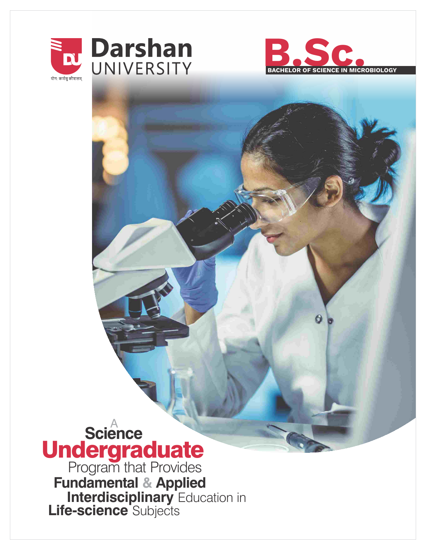



# **Science** A Program that Provides Undergraduate

**Fundamental & Applied Interdisciplinary** Education in **Life-science** Subjects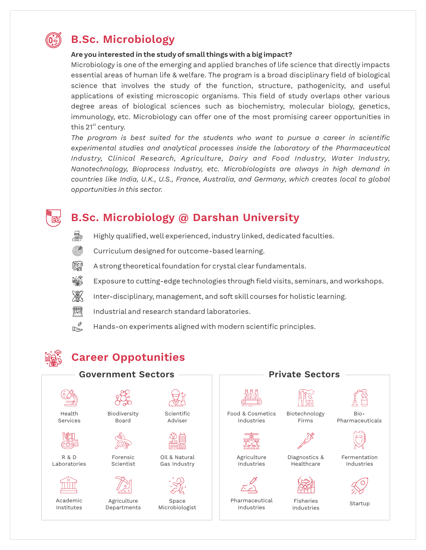

# **B.Sc. Microbiology**

## **Are you interested in the study of small things with a big impact?**

Microbiology is one of the emerging and applied branches of life science that directly impacts essential areas of human life & welfare. The program is a broad disciplinary field of biological science that involves the study of the function, structure, pathogenicity, and useful applications of existing microscopic organisms. This field of study overlaps other various degree areas of biological sciences such as biochemistry, molecular biology, genetics, immunology, etc. Microbiology can offer one of the most promising career opportunities in this 21<sup>st</sup> century.

*The program is best suited for the students who want to pursue a career in scientific experimental studies and analytical processes inside the laboratory of the Pharmaceutical Industry, Clinical Research, Agriculture, Dairy and Food Industry, Water Industry, Nanotechnology, Bioprocess Industry, etc. Microbiologists are always in high demand in countries like India, U.K., U.S., France, Australia, and Germany, which creates local to global opportunities in this sector.* 

# **B.Sc. Microbiology @ Darshan University**

- 曏
	- Highly qualified, well experienced, industry linked, dedicated faculties.
	- (G) Curriculum designed for outcome-based learning.
	- 驗 A strong theoretical foundation for crystal clear fundamentals.
	- HORO Exposure to cutting-edge technologies through field visits, seminars, and workshops.
	- 涨 Inter-disciplinary, management, and soft skill courses for holistic learning.
	- 惝 Industrial and research standard laboratories.
	- $R_{\phi}$ Hands-on experiments aligned with modern scientific principles.

# **Career Oppotunities**



Agriculture Departments

Academic Institutes

Oil & Natural Gas Industry

Space Microbiologist



Food & Cosmetics Industries



Agriculture Industries



Pharmaceutical Industries

Biotechnology Firms





Diagnostics & Healthcare



Fisheries Industries

Bio-Pharmaceuticals



Fermentation Industries



Startup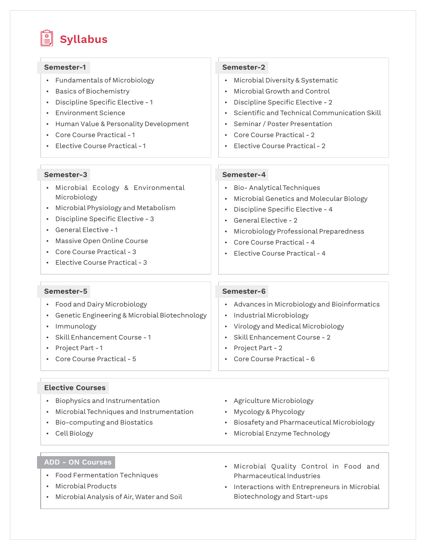# **Syllabus**

### • Fundamentals of Microbiology • Basics of Biochemistry • Discipline Specific Elective - 1 • Environment Science • Human Value & Personality Development • Core Course Practical - 1 • Elective Course Practical - 1 **Semester-1 Semester-2 Semester-3 Semester-4** • Microbial Diversity & Systematic • Microbial Growth and Control • Discipline Specific Elective - 2 • Scientific and Technical Communication Skill • Seminar / Poster Presentation • Core Course Practical - 2 • Elective Course Practical - 2 • Microbial Ecology & Environmental Microbiology • Microbial Physiology and Metabolism • Discipline Specific Elective - 3 • General Elective - 1 • Massive Open Online Course • Core Course Practical - 3  $\cdot$  Elective Course Practical - 3 • Bio- Analytical Techniques • Microbial Genetics and Molecular Biology  $\cdot$  Discipline Specific Elective - 4 • General Elective - 2 • Microbiology Professional Preparedness • Core Course Practical - 4 • Elective Course Practical - 4 **Semester-5 Semester-6** • Food and Dairy Microbiology • Genetic Engineering & Microbial Biotechnology • Immunology • Skill Enhancement Course - 1 • Project Part - 1 • Core Course Practical - 5 • Advances in Microbiology and Bioinformatics • Industrial Microbiology • Virology and Medical Microbiology • Skill Enhancement Course - 2 • Project Part - 2 • Core Course Practical - 6 **Elective Courses** • Biophysics and Instrumentation • Microbial Techniques and Instrumentation • Bio-computing and Biostatics • Cell Biology **ADD - ON Courses** • Food Fermentation Techniques • Agriculture Microbiology • Mycology & Phycology • Biosafety and Pharmaceutical Microbiology • Microbial Enzyme Technology • Microbial Quality Control in Food and Pharmaceutical Industries

- Microbial Products
- Microbial Analysis of Air, Water and Soil
- Interactions with Entrepreneurs in Microbial Biotechnology and Start-ups